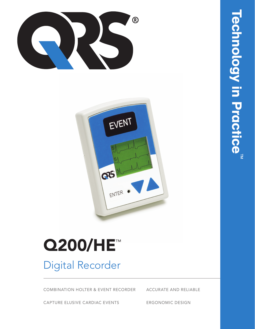



# **Q200/HE™**

## **Digital Recorder**

**COMBINATION HOLTER & EVENT RECORDER** 

**ACCURATE AND RELIABLE** 

CAPTURE ELUSIVE CARDIAC EVENTS

**ERGONOMIC DESIGN**